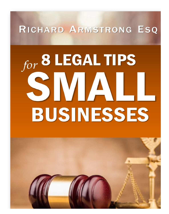RICHARD ARMSTRONG ESQ

# for 8 LEGAL TIPS SMALI **BUSINESSES**

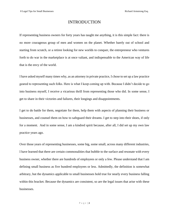### INTRODUCTION

If representing business owners for forty years has taught me anything, it is this simple fact: there is no more courageous group of men and women on the planet. Whether barely out of school and starting from scratch, or a retiree looking for new worlds to conquer, the entrepreneur who ventures forth to do war in the marketplace is at once valiant, and indispensable to the American way of life that is the envy of the world.

I have asked myself many times why, as an attorney in private practice, I chose to set up a law practice geared to representing such folks. Here is what I keep coming up with. Because I didn't decide to go into business myself, I receive a vicarious thrill from representing those who did. In some sense, I get to share in their victories and failures, their longings and disappointments.

I get to do battle for them, negotiate for them, help them with aspects of planning their business or businesses, and counsel them on how to safeguard their dreams. I get to step into their shoes, if only for a moment. And in some sense, I am a kindred spirit because, after all, I did set up my own law practice years ago.

Over those years of representing businesses, some big, some small, across many different industries, I have learned that there are certain commonalities that bubble to the surface and resonate with every business owner, whether there are hundreds of employees or only a few. Please understand that I am defining small business as five hundred employees or less. Admittedly, the definition is somewhat arbitrary, but the dynamics applicable to small businesses hold true for nearly every business falling within this bracket. Because the dynamics are consistent, so are the legal issues that arise with these businesses.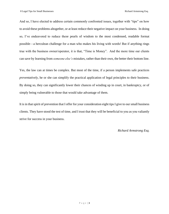And so, I have elected to address certain commonly confronted issues, together with "tips" on how to avoid these problems altogether, or at least reduce their negative impact on your business. In doing so, I've endeavored to reduce these pearls of wisdom to the most condensed, readable format possible—a herculean challenge for a man who makes his living with words! But if anything rings true with the business owner/operator, it is that, "Time is Money". And the more time our clients can save by learning from *someone else's* mistakes, rather than their own, the better their bottom line.

Yes, the law can at times be complex. But most of the time, if a person implements safe practices *preventatively*, he or she can simplify the practical application of legal principles to their business. By doing so, they can significantly lower their chances of winding up in court, in bankruptcy, or of simply being vulnerable to those that would take advantage of them.

It is in that spirit of prevention that I offer for your consideration eight tips I give to our small business clients. They have stood the test of time, and I trust that they will be beneficial to you as you valiantly strive for success in your business.

*Richard Armstrong Esq.*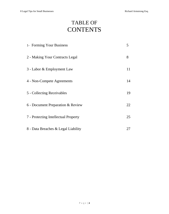# TABLE OF **CONTENTS**

| 1- Forming Your Business             | 5  |
|--------------------------------------|----|
| 2 - Making Your Contracts Legal      | 8  |
| 3 - Labor & Employment Law           | 11 |
| 4 - Non-Compete Agreements           | 14 |
| 5 - Collecting Receivables           | 19 |
| 6 - Document Preparation & Review    | 22 |
| 7 - Protecting Intellectual Property | 25 |
| 8 - Data Breaches & Legal Liability  | 27 |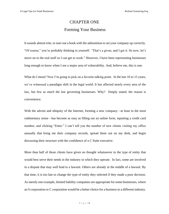# CHAPTER ONE Forming Your Business

It sounds almost trite, to start out a book with the admonition to set your company up correctly. "Of course," you're probably thinking to yourself. *"*That's a given, and I get it. So now, let's move on to the real stuff so I can get to work." However, I have been representing businesses long enough to know when I see a major area of vulnerability. And, believe me, this is one.

What do I mean? Now I'm going to pick on a favorite talking point. In the last 10 to 15 years, we've witnessed a paradigm shift in the legal world. It has affected nearly every area of the law, but few as much the law governing businesses. Why? Simply stated, the reason is convenience.

With the advent and ubiquity of the Internet, forming a new company—at least in the most rudimentary sense—has become as easy as filling out an online form, inputting a credit card number, and clicking "Enter." I can't tell you the number of new clients visiting my office annually that bring me their company records, spread them out on my desk, and begin discussing their structure with the confidence of a C Suite executive.

More than half of those clients have given no thought whatsoever to the type of entity that would best serve their needs in the industry in which they operate. In fact, some are involved in a dispute that may well lead to a lawsuit. Others are already in the middle of a lawsuit. By that time, it is too late to change the type of entity they selected if they made a poor decision. As merely one example, limited liability companies are appropriate for some businesses, where an S corporation or C corporation would be a better choice for a business in a different industry.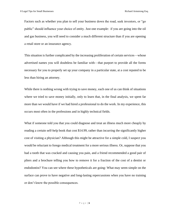Factors such as whether you plan to sell your business down the road, seek investors, or "go public" should influence your choice of entity. Just one example: if you are going into the oil and gas business, you will need to consider a much different structure than if you are opening a retail store or an insurance agency.

This situation is further complicated by the increasing proliferation of certain services—whose advertised names you will doubtless be familiar with—that purport to provide all the forms necessary for you to properly set up your company in a particular state, at a cost reputed to be less than hiring an attorney.

While there is nothing wrong with trying to save money, each one of us can think of situations where we tried to save money initially, only to learn that, in the final analysis, we spent far more than we would have if we had hired a professional to do the work. In my experience, this occurs most often in the professions and in highly technical fields.

What if someone told you that you could diagnose and treat an illness much more cheaply by reading a certain self-help book that cost \$14.99, rather than incurring the significantly higher cost of visiting a physician? Although this might be attractive for a simple cold, I suspect you would be reluctant to forego medical treatment for a more serious illness. Or, suppose that you had a tooth that was cracked and causing you pain, and a friend recommended a good pair of pliers and a brochure telling you how to remove it for a fraction of the cost of a dentist or endodontist? You can see where these hypotheticals are going: What may seem simple on the surface can prove to have negative and long-lasting repercussions when you have no training or don't know the possible consequences.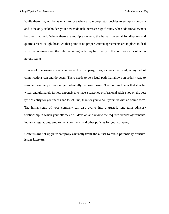While there may not be as much to lose when a sole proprietor decides to set up a company and is the only stakeholder, your downside risk increases significantly when additional owners become involved. Where there are multiple owners, the human potential for disputes and quarrels rears its ugly head. At that point, if no proper written agreements are in place to deal with the contingencies, the only remaining path may be directly to the courthouse: a situation no one wants.

If one of the owners wants to leave the company, dies, or gets divorced, a myriad of complications can and do occur. There needs to be a legal path that allows an orderly way to resolve these very common, yet potentially divisive, issues. The bottom line is that it is far wiser, and ultimately far less expensive, to have a seasoned professional advise you on the best type of entity for your needs and to set it up, than for you to do it yourself with an online form. The initial setup of your company can also evolve into a trusted, long term advisory relationship in which your attorney will develop and review the required vendor agreements, industry regulations, employment contracts, and other policies for your company.

## **Conclusion: Set up your company correctly from the outset to avoid potentially divisive issues later on.**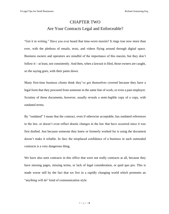# CHAPTER TWO Are Your Contracts Legal and Enforceable?

"Get it in writing." Have you ever heard that time-worn maxim? It rings true now more than ever, with the plethora of emails, texts, and videos flying around through digital space. Business owners and operators are mindful of the importance of this maxim, but they don't follow it—at least, not consistently. And then, when a lawsuit is filed, those owners are caught, so the saying goes, with their pants down.

Many first-time business clients think they've got themselves covered because they have a legal form that they procured from someone in the same line of work, or even a past employer. Scrutiny of those documents, however, usually reveals a semi-legible copy of a copy, with outdated terms.

By "outdated" I mean that the contract, even if otherwise acceptable, has outdated references to the law, or doesn't even reflect drastic changes in the law that have occurred since it was first drafted. Just because someone they knew or formerly worked for is using the document doesn't make it reliable. In fact, the misplaced confidence of a business in such outmoded contracts is a very dangerous thing.

We have also seen contracts in this office that were not really contracts at all, because they have missing pages, missing terms, or lack of legal consideration, or quid quo pro. This is made worse still by the fact that we live in a rapidly changing world which promotes an "anything will do" kind of communication style.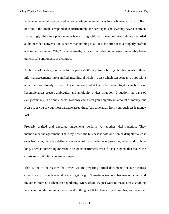Whenever an email can be used where a written document was formerly needed, a party fires one out. If the email is responded to affirmatively, the participants believe they have a contract. Increasingly, the same phenomenon is occurring with text messages. And while a recorded audio or video conversation is better than nothing at all, it is far inferior to a properly drafted and signed document. Why? Because emails, texts and recorded conversations invariably leave out critical components of a contract.

At the end of the day, it remains for the parties' attorneys to cobble together fragments of these informal agreements into a unified, meaningful whole—a task which can be near to impossible after they are already in use. This is precisely what keeps business litigators in business. Incompleteness creates ambiguity, and ambiguity invites litigation. Litigation, the bane of every company, is a double curse. Not only can it cost you a significant amount of money, but it also robs you of your most valuable asset: time. And time away from your business is money lost.

Properly drafted and executed agreements perform yet another vital function. They memorialize the agreement. That way, when the business is sold or a son or daughter takes it over from you, there is a definite reference point as to what was agreed to, when, and for how long. There is something inherent in a signed instrument, even if it is E-signed, that makes the courts regard it with a degree of respect.

That is one of the reasons that, when we are preparing formal documents for our business clients, we go through several drafts to get it right. Sometimes we do so because our client and the other attorney's client are negotiating. More often, we just want to make sure everything has been thought out and covered, and nothing is left to chance. By doing this, we make our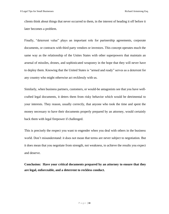clients think about things that never occurred to them, in the interest of heading it off before it later becomes a problem.

Finally, "deterrent value" plays an important role for partnership agreements, corporate documents, or contracts with third party vendors or investors. This concept operates much the same way as the relationship of the Unites States with other superpowers that maintain an arsenal of missiles, drones, and sophisticated weaponry in the hope that they will never have to deploy them. Knowing that the United States is "armed and ready" serves as a deterrent for any country who might otherwise act recklessly with us.

Similarly, when business partners, customers, or would-be antagonists see that you have wellcrafted legal documents, it deters them from risky behavior which would be detrimental to your interests. They reason, usually correctly, that anyone who took the time and spent the money necessary to have their documents properly prepared by an attorney, would certainly back them with legal firepower if challenged.

This is precisely the respect you want to engender when you deal with others in the business world. Don't misunderstand: it does not mean that terms are never subject to negotiation. But it does mean that you negotiate from strength, not weakness, to achieve the results you expect and deserve.

**Conclusion: Have your critical documents prepared by an attorney to ensure that they are legal, enforceable, and a deterrent to reckless conduct.**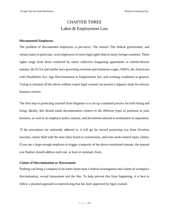# CHAPTER THREE Labor & Employment Law

### **Discontented Employees**

The problem of discontented employees is pervasive. The reason? The federal government, and certain states in particular, avail employees of more legal rights than in many foreign countries. These rights range from those conferred by union collective bargaining agreements to whistle-blower statutes, the FLSA and similar laws governing overtime and minimum wages, OSHA, the Americans with Disabilities Act, Age Discrimination in Employment Act, and working conditions in general. Trying to interpret all the above without expert legal counsel can present a slippery slope for unwary business owners.

The first step in protecting yourself from litigation is to set up a standard process for both hiring and firing. Ideally, this should entail documentation relative to the different types of positions in your business, as well as an employer policy manual, and documents tailored to termination or separation.

If the procedures are uniformly adhered to, it will go far toward protecting you from frivolous lawsuits, claims filed with the state labor board or commission, and even work-related injury claims. If you are a large enough employer to trigger a majority of the above-mentioned statutes, the manual you finalize should address each one, at least in summary form.

### **Claims of Discrimination or Harassment**

Nothing can bring a company to its knees faster than a federal investigation into claims of workplace discrimination, sexual harassment and the like. To help prevent this from happening, it is best to follow a planned approach in interviewing that has been approved by legal counsel.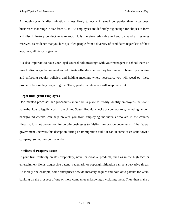Although systemic discrimination is less likely to occur in small companies than large ones, businesses that range in size from 50 to 135 employees are definitely big enough for cliques to form and discriminatory conduct to take root. It is therefore advisable to keep on hand all resumes received, as evidence that you hire qualified people from a diversity of candidates regardless of their age, race, ethnicity or gender.

It's also important to have your legal counsel hold meetings with your managers to school them on how to discourage harassment and eliminate offenders before they become a problem. By adopting and enforcing regular policies, and holding meetings where necessary, you will weed out these problems before they begin to grow. Then, yearly maintenance will keep them out.

### **Illegal Immigrant Employees**

Documented processes and procedures should be in place to readily identify employees that don't have the right to legally work in the United States. Regular checks of your workers, including random background checks, can help prevent you from employing individuals who are in the country illegally. It is not uncommon for certain businesses to falsify immigration documents. If the federal government uncovers this deception during an immigration audit, it can in some cases shut down a company, sometimes permanently.

### **Intellectual Property Issues**

If your firm routinely creates proprietary, novel or creative products, such as in the high tech or entertainment fields, aggressive patent, trademark, or copyright litigation can be a pervasive threat. As merely one example, some enterprises now deliberately acquire and hold onto patents for years, banking on the prospect of one or more companies unknowingly violating them. They then make a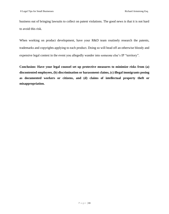business out of bringing lawsuits to collect on patent violations. The good news is that it is not hard to avoid this risk.

When working on product development, have your R&D team routinely research the patents, trademarks and copyrights applying to each product. Doing so will head off an otherwise bloody and expensive legal contest in the event you allegedly wander into someone else's IP "territory".

**Conclusion: Have your legal counsel set up protective measures to minimize risks from (a) discontented employees, (b) discrimination or harassment claims, (c) illegal immigrants posing as documented workers or citizens, and (d) claims of intellectual property theft or misappropriation.**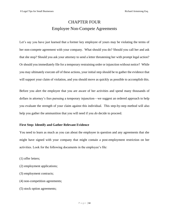# CHAPTER FOUR Employee Non-Compete Agreements

Let's say you have just learned that a former key employee of yours may be violating the terms of her non-compete agreement with your company. What should you do? Should you call her and ask that she stop? Should you ask your attorney to send a letter threatening her with prompt legal action? Or should you immediately file for a temporary restraining order or injunction without notice? While you may ultimately execute *all* of these actions, your initial step should be to gather the evidence that will support your claim of violation, and you should move as quickly as possible to accomplish this.

Before you alert the employee that you are aware of her activities and spend many thousands of dollars in attorney's fees pursuing a temporary injunction—we suggest an ordered approach to help you evaluate the strength of your claim against this individual. This step-by-step method will also help you gather the ammunition that you will need if you *do* decide to proceed.

### **First Step: Identify and Gather Relevant Evidence**

You need to learn as much as you can about the employee in question and any agreements that she might have signed with your company that might contain a post-employment restriction on her activities. Look for the following documents in the employee's file:

- (1) offer letters;
- (2) employment applications;
- (3) employment contracts;
- (4) non-competition agreements;
- (5) stock option agreements;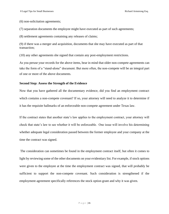(6) non-solicitation agreements;

(7) separation documents the employee might have executed as part of such agreements;

(8) settlement agreements containing any releases of claims;

(9) if there was a merger and acquisition, documents that she may have executed as part of that transaction;

(10) any other agreements she signed that contain any post-employment restrictions.

As you peruse your records for the above items, bear in mind that older non-compete agreements can take the form of a "stand-alone" document. But more often, the non-compete will be an integral part of one or more of the above documents.

### **Second Step: Assess the Strength of the Evidence**

Now that you have gathered all the documentary evidence, did you find an employment contract which contains a non-compete covenant? If so, your attorney will need to analyze it to determine if it has the requisite hallmarks of an enforceable non-compete agreement under Texas law.

If the contract states that another state's law applies to the employment contract, your attorney will check that state's law to see whether it will be enforceable. One issue will involve his determining whether adequate legal consideration passed between the former employee and your company at the time the contract was signed.

The consideration can sometimes be found in the employment contract itself, but often it comes to light by reviewing some of the other documents on your evidentiary list. For example, if stock options were given to the employee at the time the employment contract was signed, that will probably be sufficient to support the non-compete covenant. Such consideration is strengthened if the employment agreement specifically references the stock option grant and why it was given.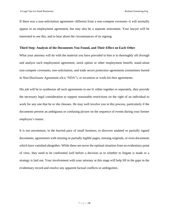If there was a non-solicitation agreement--different from a non-compete covenant--it will normally appear in an employment agreement, but may also be a separate instrument. Your lawyer will be interested to see this, and to hear about the circumstances of its signing.

### **Third Step: Analysis of the Documents You Found, and Their Effect on Each Other**

What your attorney will do with the material you have provided to him is to thoroughly sift through and analyze each employment agreement, stock option or other employment benefit; stand-alone non-compete covenants; non-solicitation, and trade secret protection agreements (sometimes buried in Non-Disclosure Agreement a/k/a "NDA"); or invention or work-for-hire agreements.

His job will be to synthesize all such agreements to see if, either together or separately, they provide the necessary legal consideration to support reasonable restrictions on the right of an individual to work for any one that he or she chooses. He may well involve you in this process, particularly if the documents present an ambiguous or confusing picture on the sequence of events during your former employee's tenure.

It is not uncommon, in the hurried pace of small business, to discover undated or partially signed documents, agreements with missing or partially legible pages, missing originals, or even documents which have vanished altogether. While these are never the optimal situation from an evidentiary point of view, they need to be confronted well before a decision as to whether to litigate is made or a strategy is laid out. Your involvement with your attorney at this stage will help fill in the gaps in the evidentiary record and resolve any apparent factual conflicts or ambiguities.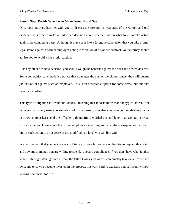### **Fourth Step: Decide Whether to Make Demand and Sue**

Once your attorney has met with you to discuss the strength or weakness of the written and oral evidence, it is time to make an informed decision about whether, and in what form, to take action against the competing party. Although it may seem like a foregone conclusion that you take prompt legal action against a former employee acting in violation of his or her contract, your attorney should advise you to avoid a knee jerk reaction.

Like any other business decision, you should weigh the benefits against the risks and downside costs. Some companies have made it a policy that no matter the cost or the circumstance, they will pursue judicial relief against such an employee. This is an acceptable option for some firms, but one that most can ill-afford.

This type of litigation is "front end loaded," meaning that it costs more than the typical lawsuit for damages by its very nature. A step short of this approach, now that you have your evidentiary ducks in a row, is to at least send the offender a thoughtfully worded demand letter that sets out in broad strokes what you know about the former employee's activities, and what the consequences may be to him if such actions do not cease or are modified to a level you can live with.

We recommend that you decide ahead of time just how far you are willing to go beyond this point, and how much money you are willing to spend, to secure compliance. If you don't have what it takes to see it through, don't go farther than the letter. Cases such as this can quickly take on a life of their own, and once you become invested in the process, it is very hard to extricate yourself from without looking somewhat foolish.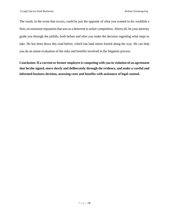The result, in the event that occurs, could be just the opposite of what you wanted to do: establish a firm, no-nonsense reputation that acts as a deterrent to unfair competition. Above all, let your attorney guide you through the pitfalls, both before and after you make the decision regarding what steps to take. He has been down this road before, which has land mines buried along the way. He can help you do an astute evaluation of the risks and benefits involved in the litigation process.

**Conclusion: If a current or former employee is competing with you in violation of an agreement that he/she signed, move slowly and deliberately through the evidence, and make a careful and informed business decision, assessing costs and benefits with assistance of legal counsel.**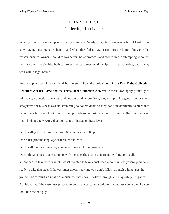# CHAPTER FIVE Collecting Receivables

When you're in business, people owe you money. Nearly every business owner has at least a few slow-paying customers or clients—and when they fail to pay, it can hurt the bottom line. For this reason, business owners should follow certain basic protocols and procedures in attempting to collect their accounts receivable, both to protect the customer relationship if it is salvageable, and to stay well within legal bounds.

For best practices, I recommend businesses follow the guidelines of **the Fair Debt [Collection](https://www.ftc.gov/enforcement/rules) Practices Act [\(FDCPA\)](https://www.ftc.gov/enforcement/rules)** and the **Texas Debt [Collection](https://www.texasattorneygeneral.gov/cpd/debt-collection) Act.** While these laws apply primarily to third-party collection agencies, and not the original creditors, they still provide good signposts and safeguards for business owners attempting to collect debts so they don't inadvertently venture into harassment territory. Additionally, they provide some basic wisdom for sound collection practices. Let's look at a few A/R collection "don'ts" based on these laws:

**Don't** call your customers before 8:00 a.m. or after 9:00 p.m.

**Don't** use profane language or threaten violence.

**Don't** call their accounts payable department multiple times a day.

**Don't** threaten past-due customers with any specific action you are not willing, or legally authorized, to take. For example, don't threaten to take a customer to court unless you're genuinely ready to take that step. If the customer doesn't pay and you don't follow through with a lawsuit, you will be creating an image of a business that doesn't follow through and may safely be ignored. Additionally, if the case does proceed to court, the customer could turn it against you and make you look like the bad guy.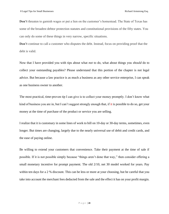**Don't** threaten to garnish wages or put a lien on the customer's homestead. The State of Texas has some of the broadest debtor protection statutes and constitutional provisions of the fifty states. You can only do some of these things in very narrow, specific situations.

**Don't** continue to call a customer who disputes the debt. Instead, focus on providing proof that the debt is valid.

Now that I have provided you with tips about what *not* to do, what about things you *should* do to collect your outstanding payables? Please understand that this portion of the chapter is not legal advice. But because a law practice is as much a business as any other service enterprise, I can speak as one business owner to another.

The most practical, time-proven tip I can give is to collect your money promptly. I don't know what kind of business you are in, but I can't suggest strongly enough that, if it is possible to do so, get your money at the time of purchase of the product or service you are selling.

I realize that it is customary in some lines of work to bill on 10-day or 30-day terms, sometimes, even longer. But times are changing, largely due to the nearly universal use of debit and credit cards, and the ease of paying online.

Be willing to extend your customers that convenience. Take their payment at the time of sale if possible. If it is not possible simply because "things aren't done that way," then consider offering a small monetary incentive for prompt payment. The old 2/10, net 30 model worked for years. Pay within ten days for a 2 % discount. This can be less or more at your choosing, but be careful that you take into account the merchant fees deducted from the sale and the effect it has on your profit margin.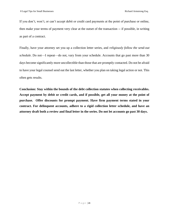If you don't, won't, or can't accept debit or credit card payments at the point of purchase or online, then make your terms of payment very clear at the outset of the transaction -- if possible, in writing as part of a contract.

Finally, have your attorney set you up a collection letter series, and *religiously follow the send-out schedule*. Do not—I repeat—do not, vary from your schedule. Accounts that go past more than 30 days become significantly more uncollectible than those that are promptly contacted. Do not be afraid to have your legal counsel send out the last letter, whether you plan on taking legal action or not. This often gets results.

**Conclusion: Stay within the bounds of the debt collection statutes when collecting receivables. Accept payment by debit or credit cards, and if possible, get all your money at the point of purchase. Offer discounts for prompt payment. Have firm payment terms stated in your contract. For delinquent accounts, adhere to a rigid collection letter schedule, and have an attorney draft both a review and final letter in the series. Do not let accounts go past 30 days.**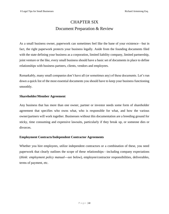# CHAPTER SIX Document Preparation & Review

As a small business owner, paperwork can sometimes feel like the bane of your existence—but in fact, the right paperwork protects your business legally. Aside from the founding documents filed with the state defining your business as a corporation, limited liability company, limited partnership, joint venture or the like, every small business should have a basic set of documents in place to define relationships with business partners, clients, vendors and employees.

Remarkably, many small companies don't have all (or sometimes any) of these documents. Let's run down a quick list of the most essential documents you should have to keep your business functioning smoothly.

### **Shareholder/Member Agreement**

Any business that has more than one owner, partner or investor needs some form of shareholder agreement that specifies who owns what, who is responsible for what, and how the various owner/partners will work together. Businesses without this documentation are a breeding ground for sticky, time consuming and expensive lawsuits, particularly if they break up, or someone dies or divorces.

### **Employment Contracts/Independent Contractor Agreements**

Whether you hire employees, utilize independent contractors or a combination of these, you need paperwork that clearly outlines the scope of these relationships—including company expectations (*think: employment policy manual---see below*), employee/contractor responsibilities, deliverables, terms of payment, etc.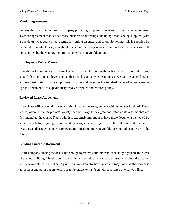### **Vendor Agreements**

For any third-party individual or company providing supplies or services to your business, you need a vendor agreement that defines those business relationships, including what is being supplied (with a due date), what you will pay, terms for settling disputes, and so on. Sometimes this is supplied by the vendor, in which case, you should have your attorney review it and mark it up as necessary. If not supplied by the vendor, then furnish one that is favorable to you.

### **Employment Policy Manual**

In addition to an employee contract which you should have with each member of your staff, you should also have an employee manual that details company expectations as well as the general rights and responsibilities of your employees. This manual becomes the standard frame of reference—the "go to" document—to expeditiously resolve disputes and enforce policy.

### **Reviewed Lease Agreement**

If you lease office or work space, you should have a lease agreement with the owner/landlord. These leases, often of the "triple net" variety, can be tricky to navigate and often contain terms that are detrimental to the tenant. That's why it is extremely important to have these documents reviewed by an attorney before signing. If you've already signed a lease agreement, have it reviewed to identify weak areas that may support a renegotiation of terms more favorable to you, either now or in the future.

### **Building Purchase Document**

A title company closing the deal is not enough to protect your interests, especially if you are the *buyer* of the new building. The title company is there to sell title insurance, and usually to close the deal on terms favorable to the seller. Again, it's important to have your attorney look at the purchase agreement and point out any errors or unfavorable terms. You will be amazed at what you find.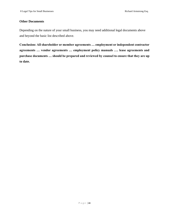### **Other Documents**

Depending on the nature of your small business, you may need additional legal documents above and beyond the basic list described above.

**Conclusion: All shareholder or member agreements … employment or independent contractor agreements … vendor agreements … employment policy manuals …. lease agreements and purchase documents … should be prepared and reviewed by counsel to ensure that they are up to date.**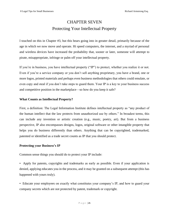# CHAPTER SEVEN Protecting Your Intellectual Property

I touched on this in Chapter #3, but this bears going into in greater detail, primarily because of the age in which we now move and operate. Hi speed computers, the internet, and a myriad of personal and wireless devices have increased the probability that, sooner or later, someone will attempt to pirate, misappropriate, infringe or palm off your intellectual property.

If you're in business, you have intellectual property ("IP") to protect, whether you realize it or not. Even if you're a service company or you don't sell anything proprietary, you have a brand, one or more logos, printed materials and perhaps even business methodologies that others could emulate, or even copy and steal if you don't take steps to guard them. Your IP is a key to your business success and competitive position in the marketplace—so how do you keep it safe?

### **What Counts as Intellectual Property?**

First, a definition: The Legal Information Institute defines intellectual property as "any product of the human intellect that the law protects from unauthorized use by others." In broadest terms, this can include any invention or artistic creation (e.g., music, poetry, art). But from a business perspective, IP also encompasses designs, logos, original software or other intangible property that helps you do business differently than others. Anything that can be copyrighted, trademarked, patented or identified as a trade secret counts as IP that you should protect.

### **Protecting your Business's IP**

Common sense things you should do to protect your IP include:

• Apply for patents, copyrights and trademarks as early as possible. Even if your application is denied, applying educates you in the process, and it may be granted on a subsequent attempt (this has happened with yours truly).

• Educate your employees on exactly what constitutes your company's IP, and how to guard your company secrets which are not protected by patent, trademark or copyright.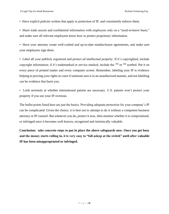• Have explicit policies written that apply to protection of IP, and consistently enforce them.

• Share trade secrets and confidential information with employees only on a "need-to-know basis," and make sure all relevant employees know how to protect proprietary information.

• Have your attorney create well-crafted and up-to-date nondisclosure agreements, and make sure your employees sign them.

• Label all your publicly registered and protect ed intellectual property. If it's copyrighted, include copyright information; if it's trademarked or service marked, include the  $^{TM}$  or  $^{SM}$  symbol. Put it on every piece of printed matter and every computer screen. Remember, labeling your IP is evidence helping to proving your rights in court if someone uses it in an unauthorized manner, and not labelling can be evidence that hurts you.

• Look seriously at whether international patents are necessary. U.S. patents won't protect your property if you use your IP overseas.

The bullet points listed here are just the basics. Providing adequate protection for your company's IP can be complicated. Given the choice, it is best not to attempt to do it without a competent business attorney or IP counsel. But whatever you do, protect it now, then monitor whether it is compromised, or infringed once it becomes well-known, recognized and intrinsically valuable.

**Conclusion: take concrete steps to put in place the above safeguards now. Once you get busy and the money starts rolling in, it is very easy to "fall asleep at the switch" until after valuable IP has been misappropriated or infringed.**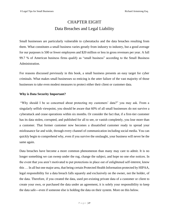# CHAPTER EIGHT Data Breaches and Legal Liability

Small businesses are particularly vulnerable to cyberattacks and the data breaches resulting from them. What constitutes a small business varies greatly from industry to industry, but a good average for our purposes is 500 or fewer employees and \$20 million or less in gross revenues per year. A full 99.7 % of American business firms qualify as "small business" according to the Small Business Administration.

For reasons discussed previously in this book, a small business presents an easy target for cyber criminals. What makes small businesses so enticing is the utter failure of the vast majority of those businesses to take even modest measures to protect either their client or customer data.

### **Why is Data Security Important?**

"Why should I be so concerned about protecting my customers' data?" you may ask. From a singularly selfish viewpoint, you should be aware that 60% of all small businesses do not survive a cyberattack and cease operations within six months. Or consider the fact that, if a first-tier customer has its data stolen, corrupted, and published for all to see, or vanish completely, you lose more than a customer. That former customer now becomes a dissatisfied customer ready to spread your misfeasance far and wide, through every channel of communication including social media. You can quickly begin to comprehend why, even if you survive the onslaught, your business will never be the same again.

Data breaches have become a more common phenomenon than many may care to admit. It is no longer something we can sweep under the rug, change the subject, and hope no one else notices. In the event that you aren't motivated to put protections in place out of enlightened self-interest, know this … In all but one major area, that being certain Protected Health Information protected by HIPAA, legal responsibility for a data breach falls squarely and exclusively on the owner, not the holder, of the data. Therefore, if you created the data, used pre-existing private data of a customer or client to create your own, or purchased the data under an agreement, it is solely your responsibility to keep the data safe---even if someone else is holding the data on their system. More on this below.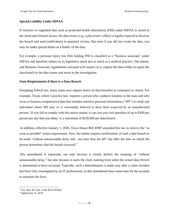### **Special Liability Under HIPAA**

If sensitive or regulated data such as protected health information (PHI) under HIPAA is stored in the cloud and a breach occurs, the data owner (e.g., a physician's office) is legally required to disclose the breach and send notifications to potential victims. But even if you did not create the data, you may be under special duties as a *holder* of the data.

For example, a personal injury law firm holding PHI is classified as a "business associate" under HIPAA and therefore subject to its legislative reach just as much as a medical practice. The statute, and Business Associate Agreements executed with respect to it, require the data holder to report the data breach to the data owner and assist in the investigation.

### **State Requirements if there is a Data Breach**

Emulating federal law, many states now require notice of data breaches to customers or clients. For example, Texas, where I practice law, requires a person who conducts business in the state and who owns or licenses computerized data that includes sensitive personal information ("SPI") to *notify any individual whose SPI was, or is reasonably believed to have been acquired by an unauthorized person.<sup>1</sup>* If you fail to comply with this notice statute, it can cost you civil penalties of up to \$100 per person per day that you delay, to a maximum of \$250,000 per data breach.

In addition, effective January 1, 2020, Texas House Bill 4390<sup>2</sup> amended this law to remove the "as soon as possible" notice requirement. Now, the statute requires notifications of such a data breach to be made "without unreasonable delay and...not later than the  $60<sup>th</sup>$  day after the date on which the person determines that the breach occurred."

This amendment is important, not only because it clearly defines the meaning of "without unreasonable delay," but also because it starts the clock running from when the *actual data breach* is determined to have occurred. Typically, such a determination is made only after a cyber-incident has been fully investigated by an IT professional, so this amendment buys some time for the accused to ascertain the facts.

 $1$  Tex. Bus. & Com. Code §521.053(b).

 $2$  Signed Jun 14, 2019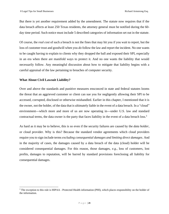But there is yet another requirement added by the amendment. The statute now requires that if the data breach affects at least 250 Texas residents, the attorney general must be notified during the 60 day time period. Such notice must include 5 described categories of information set out in the statute.

Of course, the *real cost* of such a breach is not the fines that may hit you if you wait to report, but the loss of customer trust and goodwill when you *do* follow the law and report the incident. No one wants to be caught having to explain to clients why they dropped the ball and exposed their SPI, especially in an era when there are manifold ways to protect it. And no one wants the liability that would necessarily follow. Any meaningful discussion about how to mitigate that liability begins with a careful appraisal of the law pertaining to breaches of computer security.

### **What About Civil Lawsuit Liability?**

Over and above the standards and punitive measures ensconced in state and federal statutes looms the threat that an aggrieved customer or client can sue you for negligently allowing their SPI to be accessed, corrupted, disclosed or otherwise mishandled. Earlier in this chapter, I mentioned that it is the owner, not the holder, of the data that is ultimately liable in the event of a data breach. In a "cloud" environment---which more and more of us are now operating in---under U.S. law and standard contractual terms, the data owner is the party that faces liability in the event of a data breach loss.<sup>3</sup>

As hard as it may be to believe, this is so even if the security failures are caused by the *data holder*, or cloud provider. Why is this? Because the standard vendor agreements which cloud providers require you to sign include terms *excluding consequential damages and limiting direct damages*. And in the majority of cases, the damages caused by a data breach of the data (cloud) holder will be considered consequential damages. For this reason, those damages, *e.g.,* loss of customers, lost profits, damages to reputation, will be barred by standard provisions foreclosing all liability for consequential damages.

<sup>&</sup>lt;sup>3</sup> The exception to this rule is HIPAA - Protected Health information (PHI), which places responsibility on the holder of the information.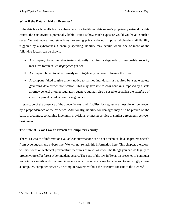### **What if the Data is Held on Premises?**

If the data breach results from a cyberattack on a traditional data owner's proprietary network or data center, the data owner is potentially liable. But just how much exposure would you have in such a case? Current federal and state laws governing privacy do not impose wholesale civil liability triggered by a cyberattack. Generally speaking, liability may accrue where one or more of the following factors can be shown:

- A company failed to effectuate statutorily required safeguards or reasonable security measures (often called *negligence per se*)
- A company failed to either remedy or mitigate any damage following the breach
- A company failed to give timely notice to harmed individuals as required by a state statute governing data breach notification. This may give rise to *civil penalties* imposed by a state attorney general or other regulatory agency, but may also be used to establish the *standard of care* in a private civil action for negligence.

Irrespective of the presence of the above factors, civil liability for negligence must always be proven by a preponderance of the evidence. Additionally, liability for damages may also be proven on the basis of a contract containing indemnity provisions, or master service or similar agreements between businesses.

### **The State of Texas Law on Breach of Computer Security**

There is a wealth of information available about what one can do at a technical level to protect oneself from cyberattacks and cybercrime. We will not rehash this information here. This chapter, therefore, will not focus on technical preventative measures as much as it will the things you can do legally to protect yourself before a cyber incident occurs. The state of the law in Texas on breaches of computer security has significantly matured in recent years. It is now a crime for a person to knowingly access a computer, computer network, or computer system without the effective consent of the owner.<sup>4</sup>

<sup>4</sup> *See* Tex. Penal Code §33.02, *et.seq.*